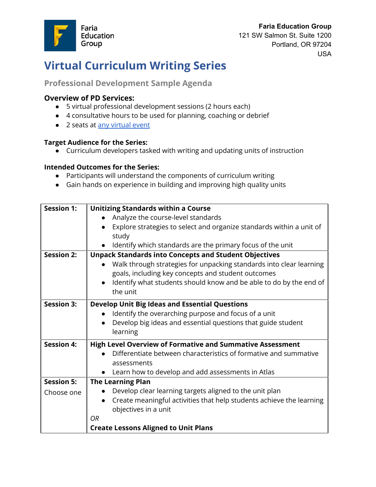



121 SW Salmon St. Suite 1200 Portland, OR 97204 USA

# **Virtual Curriculum Writing Series**

## **Professional Development Sample Agenda**

## **Overview of PD Services:**

- 5 virtual professional development sessions (2 hours each)
- 4 consultative hours to be used for planning, coaching or debrief
- 2 seats at <u>[any virtual event](https://events.faria.org/)</u>

### **Target Audience for the Series:**

● Curriculum developers tasked with writing and updating units of instruction

### **Intended Outcomes for the Series:**

- Participants will understand the components of curriculum writing
- Gain hands on experience in building and improving high quality units

| <b>Session 1:</b> | <b>Unitizing Standards within a Course</b>                                |
|-------------------|---------------------------------------------------------------------------|
|                   | Analyze the course-level standards                                        |
|                   | Explore strategies to select and organize standards within a unit of      |
|                   | study                                                                     |
|                   | Identify which standards are the primary focus of the unit                |
| <b>Session 2:</b> | <b>Unpack Standards into Concepts and Student Objectives</b>              |
|                   | Walk through strategies for unpacking standards into clear learning       |
|                   | goals, including key concepts and student outcomes                        |
|                   | Identify what students should know and be able to do by the end of        |
|                   | the unit                                                                  |
| <b>Session 3:</b> | <b>Develop Unit Big Ideas and Essential Questions</b>                     |
|                   | Identify the overarching purpose and focus of a unit                      |
|                   | Develop big ideas and essential questions that guide student<br>$\bullet$ |
|                   | learning                                                                  |
| <b>Session 4:</b> | <b>High Level Overview of Formative and Summative Assessment</b>          |
|                   | Differentiate between characteristics of formative and summative          |
|                   | assessments                                                               |
|                   | Learn how to develop and add assessments in Atlas                         |
| <b>Session 5:</b> | <b>The Learning Plan</b>                                                  |
| Choose one        | Develop clear learning targets aligned to the unit plan                   |
|                   | Create meaningful activities that help students achieve the learning      |
|                   | objectives in a unit                                                      |
|                   | <b>OR</b>                                                                 |
|                   | <b>Create Lessons Aligned to Unit Plans</b>                               |